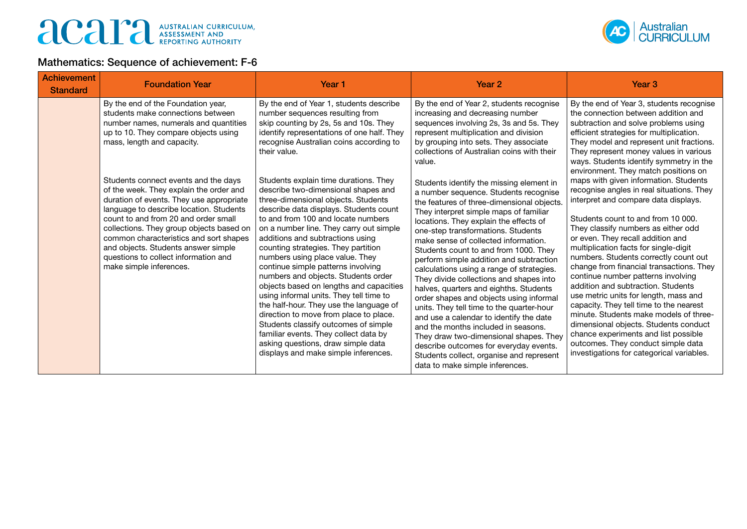## australian Curriculum,



## Mathematics: Sequence of achievement: F-6

| <b>Achievement</b><br><b>Standard</b> | <b>Foundation Year</b>                                                                                                                                                                                                                                                                                                                                                                                         | Year <sub>1</sub>                                                                                                                                                                                                                                                                                                                                                                                                                                                                                                                                                                                                                                                                                                                                                                   | Year 2                                                                                                                                                                                                                                                                                                                                                                                                                                                                                                                                                                                                                                                                                                                                                                                                                                                               | Year <sub>3</sub>                                                                                                                                                                                                                                                                                                                                                                                                                                                                                                                                                                                                                                                                                                                                        |
|---------------------------------------|----------------------------------------------------------------------------------------------------------------------------------------------------------------------------------------------------------------------------------------------------------------------------------------------------------------------------------------------------------------------------------------------------------------|-------------------------------------------------------------------------------------------------------------------------------------------------------------------------------------------------------------------------------------------------------------------------------------------------------------------------------------------------------------------------------------------------------------------------------------------------------------------------------------------------------------------------------------------------------------------------------------------------------------------------------------------------------------------------------------------------------------------------------------------------------------------------------------|----------------------------------------------------------------------------------------------------------------------------------------------------------------------------------------------------------------------------------------------------------------------------------------------------------------------------------------------------------------------------------------------------------------------------------------------------------------------------------------------------------------------------------------------------------------------------------------------------------------------------------------------------------------------------------------------------------------------------------------------------------------------------------------------------------------------------------------------------------------------|----------------------------------------------------------------------------------------------------------------------------------------------------------------------------------------------------------------------------------------------------------------------------------------------------------------------------------------------------------------------------------------------------------------------------------------------------------------------------------------------------------------------------------------------------------------------------------------------------------------------------------------------------------------------------------------------------------------------------------------------------------|
|                                       | By the end of the Foundation year,<br>students make connections between<br>number names, numerals and quantities<br>up to 10. They compare objects using<br>mass, length and capacity.                                                                                                                                                                                                                         | By the end of Year 1, students describe<br>number sequences resulting from<br>skip counting by 2s, 5s and 10s. They<br>identify representations of one half. They<br>recognise Australian coins according to<br>their value.                                                                                                                                                                                                                                                                                                                                                                                                                                                                                                                                                        | By the end of Year 2, students recognise<br>increasing and decreasing number<br>sequences involving 2s, 3s and 5s. They<br>represent multiplication and division<br>by grouping into sets. They associate<br>collections of Australian coins with their<br>value.                                                                                                                                                                                                                                                                                                                                                                                                                                                                                                                                                                                                    | By the end of Year 3, students recognise<br>the connection between addition and<br>subtraction and solve problems using<br>efficient strategies for multiplication.<br>They model and represent unit fractions.<br>They represent money values in various<br>ways. Students identify symmetry in the<br>environment. They match positions on                                                                                                                                                                                                                                                                                                                                                                                                             |
|                                       | Students connect events and the days<br>of the week. They explain the order and<br>duration of events. They use appropriate<br>language to describe location. Students<br>count to and from 20 and order small<br>collections. They group objects based on<br>common characteristics and sort shapes<br>and objects. Students answer simple<br>questions to collect information and<br>make simple inferences. | Students explain time durations. They<br>describe two-dimensional shapes and<br>three-dimensional objects. Students<br>describe data displays. Students count<br>to and from 100 and locate numbers<br>on a number line. They carry out simple<br>additions and subtractions using<br>counting strategies. They partition<br>numbers using place value. They<br>continue simple patterns involving<br>numbers and objects. Students order<br>objects based on lengths and capacities<br>using informal units. They tell time to<br>the half-hour. They use the language of<br>direction to move from place to place.<br>Students classify outcomes of simple<br>familiar events. They collect data by<br>asking questions, draw simple data<br>displays and make simple inferences. | Students identify the missing element in<br>a number sequence. Students recognise<br>the features of three-dimensional objects.<br>They interpret simple maps of familiar<br>locations. They explain the effects of<br>one-step transformations. Students<br>make sense of collected information.<br>Students count to and from 1000. They<br>perform simple addition and subtraction<br>calculations using a range of strategies.<br>They divide collections and shapes into<br>halves, quarters and eighths. Students<br>order shapes and objects using informal<br>units. They tell time to the quarter-hour<br>and use a calendar to identify the date<br>and the months included in seasons.<br>They draw two-dimensional shapes. They<br>describe outcomes for everyday events.<br>Students collect, organise and represent<br>data to make simple inferences. | maps with given information. Students<br>recognise angles in real situations. They<br>interpret and compare data displays.<br>Students count to and from 10 000.<br>They classify numbers as either odd<br>or even. They recall addition and<br>multiplication facts for single-digit<br>numbers. Students correctly count out<br>change from financial transactions. They<br>continue number patterns involving<br>addition and subtraction. Students<br>use metric units for length, mass and<br>capacity. They tell time to the nearest<br>minute. Students make models of three-<br>dimensional objects. Students conduct<br>chance experiments and list possible<br>outcomes. They conduct simple data<br>investigations for categorical variables. |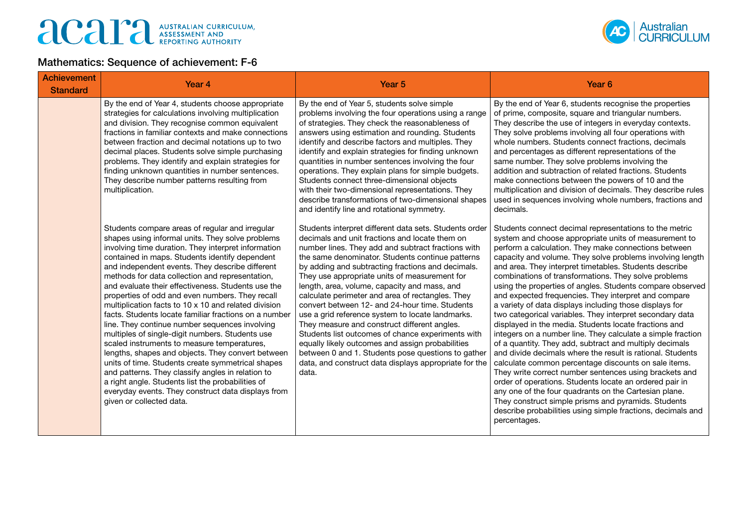

## Mathematics: Sequence of achievement: F-6

| <b>Achievement</b><br><b>Standard</b> | Year 4                                                                                                                                                                                                                                                                                                                                                                                                                                                                                                                                                                                                                                                                                                                                                                                                                                                                                                                                                                                                 | Year <sub>5</sub>                                                                                                                                                                                                                                                                                                                                                                                                                                                                                                                                                                                                                                                                                                                                                                                                   | Year <sub>6</sub>                                                                                                                                                                                                                                                                                                                                                                                                                                                                                                                                                                                                                                                                                                                                                                                                                                                                                                                                                                                                                                                                                                                                                                                                               |  |
|---------------------------------------|--------------------------------------------------------------------------------------------------------------------------------------------------------------------------------------------------------------------------------------------------------------------------------------------------------------------------------------------------------------------------------------------------------------------------------------------------------------------------------------------------------------------------------------------------------------------------------------------------------------------------------------------------------------------------------------------------------------------------------------------------------------------------------------------------------------------------------------------------------------------------------------------------------------------------------------------------------------------------------------------------------|---------------------------------------------------------------------------------------------------------------------------------------------------------------------------------------------------------------------------------------------------------------------------------------------------------------------------------------------------------------------------------------------------------------------------------------------------------------------------------------------------------------------------------------------------------------------------------------------------------------------------------------------------------------------------------------------------------------------------------------------------------------------------------------------------------------------|---------------------------------------------------------------------------------------------------------------------------------------------------------------------------------------------------------------------------------------------------------------------------------------------------------------------------------------------------------------------------------------------------------------------------------------------------------------------------------------------------------------------------------------------------------------------------------------------------------------------------------------------------------------------------------------------------------------------------------------------------------------------------------------------------------------------------------------------------------------------------------------------------------------------------------------------------------------------------------------------------------------------------------------------------------------------------------------------------------------------------------------------------------------------------------------------------------------------------------|--|
|                                       | By the end of Year 4, students choose appropriate<br>strategies for calculations involving multiplication<br>and division. They recognise common equivalent<br>fractions in familiar contexts and make connections<br>between fraction and decimal notations up to two<br>decimal places. Students solve simple purchasing<br>problems. They identify and explain strategies for<br>finding unknown quantities in number sentences.<br>They describe number patterns resulting from<br>multiplication.                                                                                                                                                                                                                                                                                                                                                                                                                                                                                                 | By the end of Year 5, students solve simple<br>problems involving the four operations using a range<br>of strategies. They check the reasonableness of<br>answers using estimation and rounding. Students<br>identify and describe factors and multiples. They<br>identify and explain strategies for finding unknown<br>quantities in number sentences involving the four<br>operations. They explain plans for simple budgets.<br>Students connect three-dimensional objects<br>with their two-dimensional representations. They<br>describe transformations of two-dimensional shapes<br>and identify line and rotational symmetry.                                                                                                                                                                              | By the end of Year 6, students recognise the properties<br>of prime, composite, square and triangular numbers.<br>They describe the use of integers in everyday contexts.<br>They solve problems involving all four operations with<br>whole numbers. Students connect fractions, decimals<br>and percentages as different representations of the<br>same number. They solve problems involving the<br>addition and subtraction of related fractions. Students<br>make connections between the powers of 10 and the<br>multiplication and division of decimals. They describe rules<br>used in sequences involving whole numbers, fractions and<br>decimals.                                                                                                                                                                                                                                                                                                                                                                                                                                                                                                                                                                    |  |
|                                       | Students compare areas of regular and irregular<br>shapes using informal units. They solve problems<br>involving time duration. They interpret information<br>contained in maps. Students identify dependent<br>and independent events. They describe different<br>methods for data collection and representation,<br>and evaluate their effectiveness. Students use the<br>properties of odd and even numbers. They recall<br>multiplication facts to 10 x 10 and related division<br>facts. Students locate familiar fractions on a number<br>line. They continue number sequences involving<br>multiples of single-digit numbers. Students use<br>scaled instruments to measure temperatures,<br>lengths, shapes and objects. They convert between<br>units of time. Students create symmetrical shapes<br>and patterns. They classify angles in relation to<br>a right angle. Students list the probabilities of<br>everyday events. They construct data displays from<br>given or collected data. | Students interpret different data sets. Students order<br>decimals and unit fractions and locate them on<br>number lines. They add and subtract fractions with<br>the same denominator. Students continue patterns<br>by adding and subtracting fractions and decimals.<br>They use appropriate units of measurement for<br>length, area, volume, capacity and mass, and<br>calculate perimeter and area of rectangles. They<br>convert between 12- and 24-hour time. Students<br>use a grid reference system to locate landmarks.<br>They measure and construct different angles.<br>Students list outcomes of chance experiments with<br>equally likely outcomes and assign probabilities<br>between 0 and 1. Students pose questions to gather<br>data, and construct data displays appropriate for the<br>data. | Students connect decimal representations to the metric<br>system and choose appropriate units of measurement to<br>perform a calculation. They make connections between<br>capacity and volume. They solve problems involving length<br>and area. They interpret timetables. Students describe<br>combinations of transformations. They solve problems<br>using the properties of angles. Students compare observed<br>and expected frequencies. They interpret and compare<br>a variety of data displays including those displays for<br>two categorical variables. They interpret secondary data<br>displayed in the media. Students locate fractions and<br>integers on a number line. They calculate a simple fraction<br>of a quantity. They add, subtract and multiply decimals<br>and divide decimals where the result is rational. Students<br>calculate common percentage discounts on sale items.<br>They write correct number sentences using brackets and<br>order of operations. Students locate an ordered pair in<br>any one of the four quadrants on the Cartesian plane.<br>They construct simple prisms and pyramids. Students<br>describe probabilities using simple fractions, decimals and<br>percentages. |  |